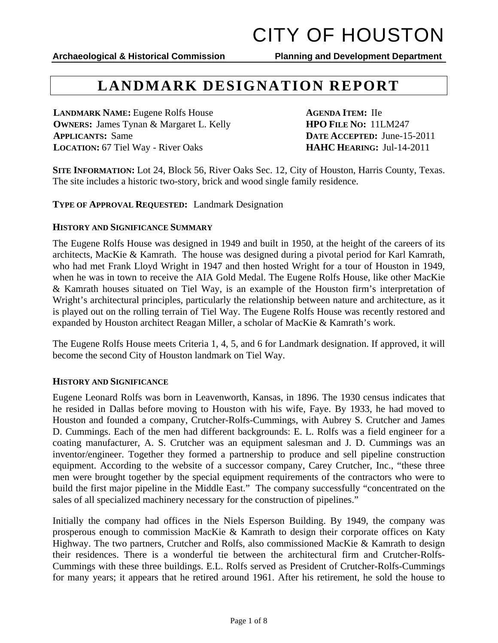**Archaeological & Historical Commission Planning and Development Department** 

## **LANDMARK DESIGNATION REPORT**

**LANDMARK NAME:** Eugene Rolfs House **AGENDA ITEM:** IIe **OWNERS:** James Tynan & Margaret L. Kelly **HPO** FILE NO: 11LM247 **APPLICANTS:** Same **DATE ACCEPTED:** June-15-2011 **LOCATION:** 67 Tiel Way - River Oaks **HAHC HEARING:** Jul-14-2011

**SITE INFORMATION:** Lot 24, Block 56, River Oaks Sec. 12, City of Houston, Harris County, Texas. The site includes a historic two-story, brick and wood single family residence.

**TYPE OF APPROVAL REQUESTED:** Landmark Designation

### **HISTORY AND SIGNIFICANCE SUMMARY**

The Eugene Rolfs House was designed in 1949 and built in 1950, at the height of the careers of its architects, MacKie & Kamrath. The house was designed during a pivotal period for Karl Kamrath, who had met Frank Lloyd Wright in 1947 and then hosted Wright for a tour of Houston in 1949, when he was in town to receive the AIA Gold Medal. The Eugene Rolfs House, like other MacKie & Kamrath houses situated on Tiel Way, is an example of the Houston firm's interpretation of Wright's architectural principles, particularly the relationship between nature and architecture, as it is played out on the rolling terrain of Tiel Way. The Eugene Rolfs House was recently restored and expanded by Houston architect Reagan Miller, a scholar of MacKie & Kamrath's work.

The Eugene Rolfs House meets Criteria 1, 4, 5, and 6 for Landmark designation. If approved, it will become the second City of Houston landmark on Tiel Way.

### **HISTORY AND SIGNIFICANCE**

Eugene Leonard Rolfs was born in Leavenworth, Kansas, in 1896. The 1930 census indicates that he resided in Dallas before moving to Houston with his wife, Faye. By 1933, he had moved to Houston and founded a company, Crutcher-Rolfs-Cummings, with Aubrey S. Crutcher and James D. Cummings. Each of the men had different backgrounds: E. L. Rolfs was a field engineer for a coating manufacturer, A. S. Crutcher was an equipment salesman and J. D. Cummings was an inventor/engineer. Together they formed a partnership to produce and sell pipeline construction equipment. According to the website of a successor company, Carey Crutcher, Inc., "these three men were brought together by the special equipment requirements of the contractors who were to build the first major pipeline in the Middle East." The company successfully "concentrated on the sales of all specialized machinery necessary for the construction of pipelines."

Initially the company had offices in the Niels Esperson Building. By 1949, the company was prosperous enough to commission MacKie & Kamrath to design their corporate offices on Katy Highway. The two partners, Crutcher and Rolfs, also commissioned MacKie & Kamrath to design their residences. There is a wonderful tie between the architectural firm and Crutcher-Rolfs-Cummings with these three buildings. E.L. Rolfs served as President of Crutcher-Rolfs-Cummings for many years; it appears that he retired around 1961. After his retirement, he sold the house to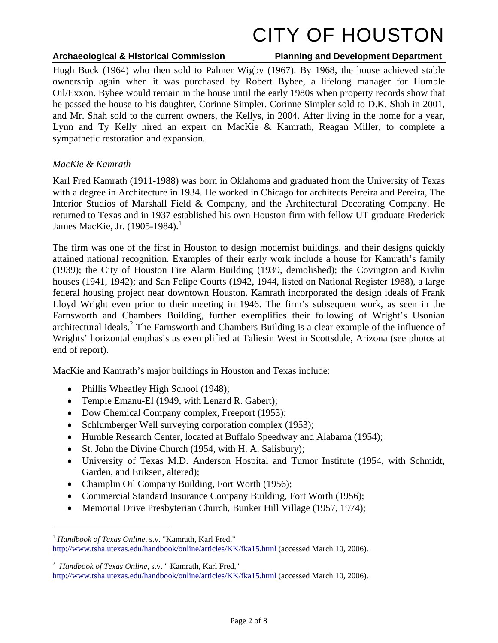### **Archaeological & Historical Commission Planning and Development Department**

Hugh Buck (1964) who then sold to Palmer Wigby (1967). By 1968, the house achieved stable ownership again when it was purchased by Robert Bybee, a lifelong manager for Humble Oil/Exxon. Bybee would remain in the house until the early 1980s when property records show that he passed the house to his daughter, Corinne Simpler. Corinne Simpler sold to D.K. Shah in 2001, and Mr. Shah sold to the current owners, the Kellys, in 2004. After living in the home for a year, Lynn and Ty Kelly hired an expert on MacKie & Kamrath, Reagan Miller, to complete a sympathetic restoration and expansion.

### *MacKie & Kamrath*

Karl Fred Kamrath (1911-1988) was born in Oklahoma and graduated from the University of Texas with a degree in Architecture in 1934. He worked in Chicago for architects Pereira and Pereira, The Interior Studios of Marshall Field & Company, and the Architectural Decorating Company. He returned to Texas and in 1937 established his own Houston firm with fellow UT graduate Frederick James MacKie, Jr. (1905-1984).<sup>1</sup>

The firm was one of the first in Houston to design modernist buildings, and their designs quickly attained national recognition. Examples of their early work include a house for Kamrath's family (1939); the City of Houston Fire Alarm Building (1939, demolished); the Covington and Kivlin houses (1941, 1942); and San Felipe Courts (1942, 1944, listed on National Register 1988), a large federal housing project near downtown Houston. Kamrath incorporated the design ideals of Frank Lloyd Wright even prior to their meeting in 1946. The firm's subsequent work, as seen in the Farnsworth and Chambers Building, further exemplifies their following of Wright's Usonian architectural ideals.<sup>2</sup> The Farnsworth and Chambers Building is a clear example of the influence of Wrights' horizontal emphasis as exemplified at Taliesin West in Scottsdale, Arizona (see photos at end of report).

MacKie and Kamrath's major buildings in Houston and Texas include:

- Phillis Wheatley High School (1948);
- Temple Emanu-El (1949, with Lenard R. Gabert);
- Dow Chemical Company complex, Freeport (1953);
- Schlumberger Well surveying corporation complex (1953);
- Humble Research Center, located at Buffalo Speedway and Alabama (1954);
- St. John the Divine Church (1954, with H. A. Salisbury);
- University of Texas M.D. Anderson Hospital and Tumor Institute (1954, with Schmidt, Garden, and Eriksen, altered);
- Champlin Oil Company Building, Fort Worth (1956);
- Commercial Standard Insurance Company Building, Fort Worth (1956);
- Memorial Drive Presbyterian Church, Bunker Hill Village (1957, 1974);

 $\overline{a}$ 

<sup>1</sup> *Handbook of Texas Online*, s.v. "Kamrath, Karl Fred," http://www.tsha.utexas.edu/handbook/online/articles/KK/fka15.html (accessed March 10, 2006).

<sup>2</sup> *Handbook of Texas Online*, s.v. " Kamrath, Karl Fred,"

http://www.tsha.utexas.edu/handbook/online/articles/KK/fka15.html (accessed March 10, 2006).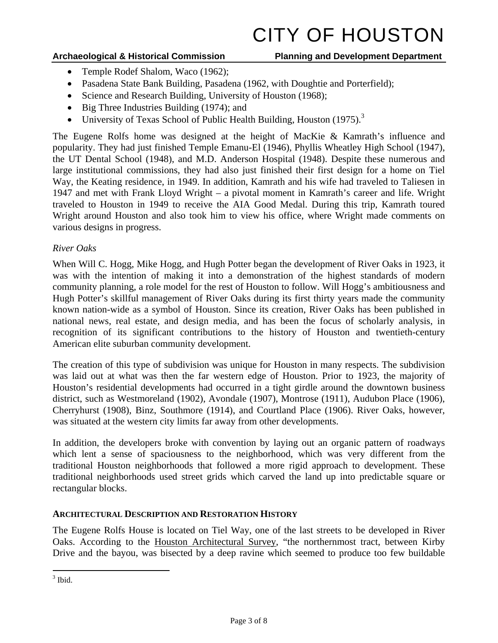### **Archaeological & Historical Commission Planning and Development Department**

- Temple Rodef Shalom, Waco (1962);
- Pasadena State Bank Building, Pasadena (1962, with Doughtie and Porterfield);
- Science and Research Building, University of Houston (1968);
- Big Three Industries Building (1974); and
- University of Texas School of Public Health Building, Houston (1975).<sup>3</sup>

The Eugene Rolfs home was designed at the height of MacKie & Kamrath's influence and popularity. They had just finished Temple Emanu-El (1946), Phyllis Wheatley High School (1947), the UT Dental School (1948), and M.D. Anderson Hospital (1948). Despite these numerous and large institutional commissions, they had also just finished their first design for a home on Tiel Way, the Keating residence, in 1949. In addition, Kamrath and his wife had traveled to Taliesen in 1947 and met with Frank Lloyd Wright – a pivotal moment in Kamrath's career and life. Wright traveled to Houston in 1949 to receive the AIA Good Medal. During this trip, Kamrath toured Wright around Houston and also took him to view his office, where Wright made comments on various designs in progress.

### *River Oaks*

When Will C. Hogg, Mike Hogg, and Hugh Potter began the development of River Oaks in 1923, it was with the intention of making it into a demonstration of the highest standards of modern community planning, a role model for the rest of Houston to follow. Will Hogg's ambitiousness and Hugh Potter's skillful management of River Oaks during its first thirty years made the community known nation-wide as a symbol of Houston. Since its creation, River Oaks has been published in national news, real estate, and design media, and has been the focus of scholarly analysis, in recognition of its significant contributions to the history of Houston and twentieth-century American elite suburban community development.

The creation of this type of subdivision was unique for Houston in many respects. The subdivision was laid out at what was then the far western edge of Houston. Prior to 1923, the majority of Houston's residential developments had occurred in a tight girdle around the downtown business district, such as Westmoreland (1902), Avondale (1907), Montrose (1911), Audubon Place (1906), Cherryhurst (1908), Binz, Southmore (1914), and Courtland Place (1906). River Oaks, however, was situated at the western city limits far away from other developments.

In addition, the developers broke with convention by laying out an organic pattern of roadways which lent a sense of spaciousness to the neighborhood, which was very different from the traditional Houston neighborhoods that followed a more rigid approach to development. These traditional neighborhoods used street grids which carved the land up into predictable square or rectangular blocks.

### **ARCHITECTURAL DESCRIPTION AND RESTORATION HISTORY**

The Eugene Rolfs House is located on Tiel Way, one of the last streets to be developed in River Oaks. According to the Houston Architectural Survey, "the northernmost tract, between Kirby Drive and the bayou, was bisected by a deep ravine which seemed to produce too few buildable

 $3$  Ibid.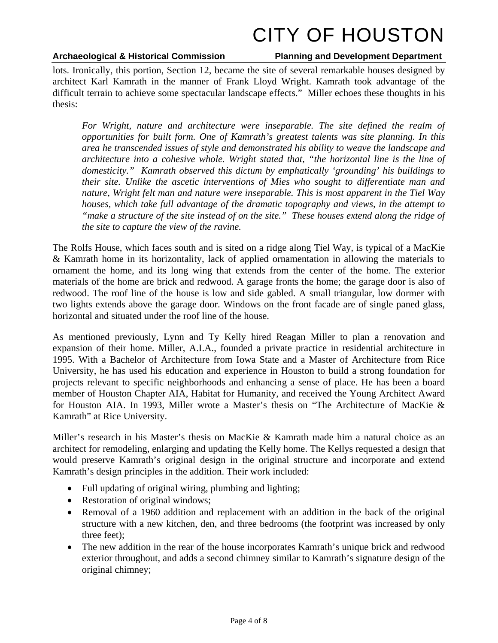### **Archaeological & Historical Commission Planning and Development Department**

lots. Ironically, this portion, Section 12, became the site of several remarkable houses designed by architect Karl Kamrath in the manner of Frank Lloyd Wright. Kamrath took advantage of the difficult terrain to achieve some spectacular landscape effects." Miller echoes these thoughts in his thesis:

For Wright, nature and architecture were inseparable. The site defined the realm of *opportunities for built form. One of Kamrath's greatest talents was site planning. In this area he transcended issues of style and demonstrated his ability to weave the landscape and architecture into a cohesive whole. Wright stated that, "the horizontal line is the line of domesticity." Kamrath observed this dictum by emphatically 'grounding' his buildings to their site. Unlike the ascetic interventions of Mies who sought to differentiate man and nature, Wright felt man and nature were inseparable. This is most apparent in the Tiel Way houses, which take full advantage of the dramatic topography and views, in the attempt to "make a structure of the site instead of on the site." These houses extend along the ridge of the site to capture the view of the ravine.* 

The Rolfs House, which faces south and is sited on a ridge along Tiel Way, is typical of a MacKie & Kamrath home in its horizontality, lack of applied ornamentation in allowing the materials to ornament the home, and its long wing that extends from the center of the home. The exterior materials of the home are brick and redwood. A garage fronts the home; the garage door is also of redwood. The roof line of the house is low and side gabled. A small triangular, low dormer with two lights extends above the garage door. Windows on the front facade are of single paned glass, horizontal and situated under the roof line of the house.

As mentioned previously, Lynn and Ty Kelly hired Reagan Miller to plan a renovation and expansion of their home. Miller, A.I.A., founded a private practice in residential architecture in 1995. With a Bachelor of Architecture from Iowa State and a Master of Architecture from Rice University, he has used his education and experience in Houston to build a strong foundation for projects relevant to specific neighborhoods and enhancing a sense of place. He has been a board member of Houston Chapter AIA, Habitat for Humanity, and received the Young Architect Award for Houston AIA. In 1993, Miller wrote a Master's thesis on "The Architecture of MacKie & Kamrath" at Rice University.

Miller's research in his Master's thesis on MacKie & Kamrath made him a natural choice as an architect for remodeling, enlarging and updating the Kelly home. The Kellys requested a design that would preserve Kamrath's original design in the original structure and incorporate and extend Kamrath's design principles in the addition. Their work included:

- Full updating of original wiring, plumbing and lighting;
- Restoration of original windows;
- Removal of a 1960 addition and replacement with an addition in the back of the original structure with a new kitchen, den, and three bedrooms (the footprint was increased by only three feet);
- The new addition in the rear of the house incorporates Kamrath's unique brick and redwood exterior throughout, and adds a second chimney similar to Kamrath's signature design of the original chimney;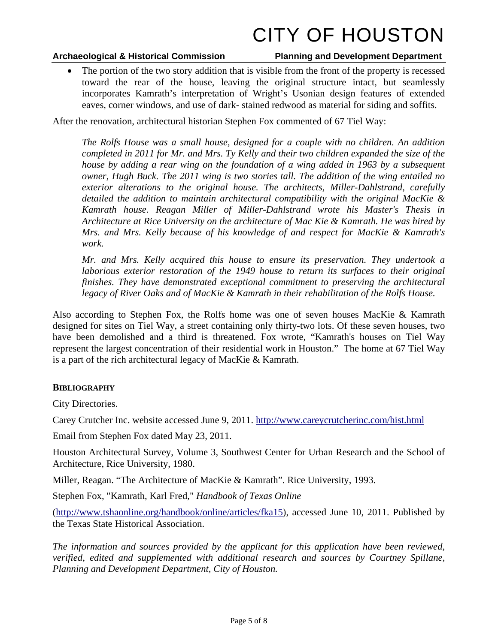### **Archaeological & Historical Commission Planning and Development Department**

• The portion of the two story addition that is visible from the front of the property is recessed toward the rear of the house, leaving the original structure intact, but seamlessly incorporates Kamrath's interpretation of Wright's Usonian design features of extended eaves, corner windows, and use of dark- stained redwood as material for siding and soffits.

After the renovation, architectural historian Stephen Fox commented of 67 Tiel Way:

*The Rolfs House was a small house, designed for a couple with no children. An addition completed in 2011 for Mr. and Mrs. Ty Kelly and their two children expanded the size of the house by adding a rear wing on the foundation of a wing added in 1963 by a subsequent owner, Hugh Buck. The 2011 wing is two stories tall. The addition of the wing entailed no exterior alterations to the original house. The architects, Miller-Dahlstrand, carefully detailed the addition to maintain architectural compatibility with the original MacKie & Kamrath house. Reagan Miller of Miller-Dahlstrand wrote his Master's Thesis in Architecture at Rice University on the architecture of Mac Kie & Kamrath. He was hired by Mrs. and Mrs. Kelly because of his knowledge of and respect for MacKie & Kamrath's work.* 

*Mr. and Mrs. Kelly acquired this house to ensure its preservation. They undertook a laborious exterior restoration of the 1949 house to return its surfaces to their original finishes. They have demonstrated exceptional commitment to preserving the architectural legacy of River Oaks and of MacKie & Kamrath in their rehabilitation of the Rolfs House.* 

Also according to Stephen Fox, the Rolfs home was one of seven houses MacKie & Kamrath designed for sites on Tiel Way, a street containing only thirty-two lots. Of these seven houses, two have been demolished and a third is threatened. Fox wrote, "Kamrath's houses on Tiel Way represent the largest concentration of their residential work in Houston." The home at 67 Tiel Way is a part of the rich architectural legacy of MacKie & Kamrath.

### **BIBLIOGRAPHY**

City Directories.

Carey Crutcher Inc. website accessed June 9, 2011. http://www.careycrutcherinc.com/hist.html

Email from Stephen Fox dated May 23, 2011.

Houston Architectural Survey, Volume 3, Southwest Center for Urban Research and the School of Architecture, Rice University, 1980.

Miller, Reagan. "The Architecture of MacKie & Kamrath". Rice University, 1993.

Stephen Fox, "Kamrath, Karl Fred," *Handbook of Texas Online*

(http://www.tshaonline.org/handbook/online/articles/fka15), accessed June 10, 2011. Published by the Texas State Historical Association.

*The information and sources provided by the applicant for this application have been reviewed, verified, edited and supplemented with additional research and sources by Courtney Spillane, Planning and Development Department, City of Houston.*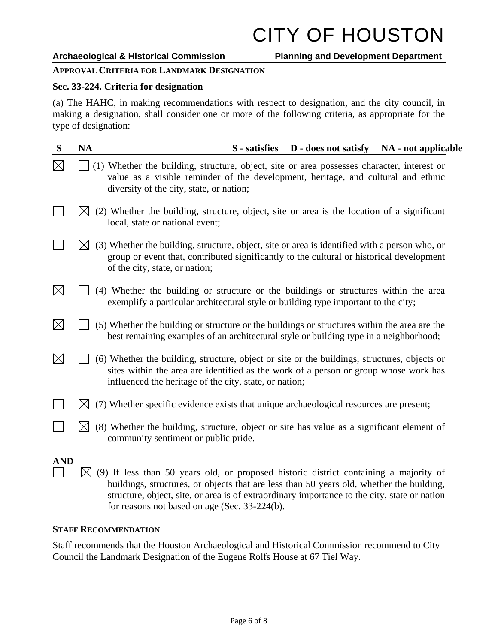### **APPROVAL CRITERIA FOR LANDMARK DESIGNATION**

### **Sec. 33-224. Criteria for designation**

(a) The HAHC, in making recommendations with respect to designation, and the city council, in making a designation, shall consider one or more of the following criteria, as appropriate for the type of designation:

| S           | <b>NA</b>    | <b>D</b> - does not satisfy<br>S - satisfies<br>NA - not applicable                                                                                                                                                                            |
|-------------|--------------|------------------------------------------------------------------------------------------------------------------------------------------------------------------------------------------------------------------------------------------------|
| $\boxtimes$ |              | (1) Whether the building, structure, object, site or area possesses character, interest or<br>value as a visible reminder of the development, heritage, and cultural and ethnic<br>diversity of the city, state, or nation;                    |
|             |              | (2) Whether the building, structure, object, site or area is the location of a significant<br>local, state or national event;                                                                                                                  |
|             |              | (3) Whether the building, structure, object, site or area is identified with a person who, or<br>group or event that, contributed significantly to the cultural or historical development<br>of the city, state, or nation;                    |
| $\boxtimes$ |              | (4) Whether the building or structure or the buildings or structures within the area<br>exemplify a particular architectural style or building type important to the city;                                                                     |
| $\boxtimes$ |              | (5) Whether the building or structure or the buildings or structures within the area are the<br>best remaining examples of an architectural style or building type in a neighborhood;                                                          |
| $\boxtimes$ |              | (6) Whether the building, structure, object or site or the buildings, structures, objects or<br>sites within the area are identified as the work of a person or group whose work has<br>influenced the heritage of the city, state, or nation; |
|             |              | (7) Whether specific evidence exists that unique archaeological resources are present;                                                                                                                                                         |
|             |              | (8) Whether the building, structure, object or site has value as a significant element of<br>community sentiment or public pride.                                                                                                              |
| <b>AND</b>  | $\mathbb{X}$ | (9) If less than 50 years old, or proposed historic district containing a majority of<br>$\mathbf{A}$ , and $\mathbf{A}$ , and $\mathbf{A}$ , and $\mathbf{A}$                                                                                 |

buildings, structures, or objects that are less than 50 years old, whether the building, structure, object, site, or area is of extraordinary importance to the city, state or nation for reasons not based on age (Sec. 33-224(b).

### **STAFF RECOMMENDATION**

Staff recommends that the Houston Archaeological and Historical Commission recommend to City Council the Landmark Designation of the Eugene Rolfs House at 67 Tiel Way.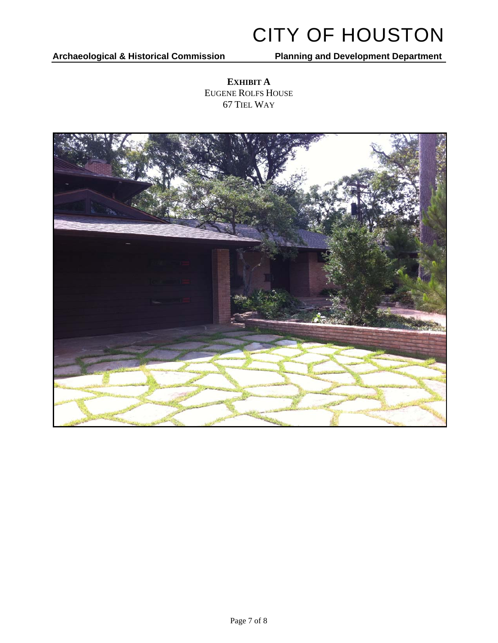**Archaeological & Historical Commission Planning and Development Department** 

**EXHIBIT A**  EUGENE ROLFS HOUSE 67 TIEL WAY